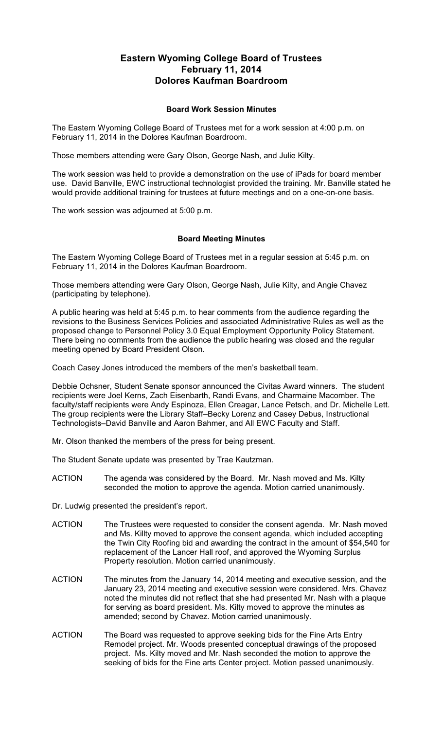## **Eastern Wyoming College Board of Trustees February 11, 2014 Dolores Kaufman Boardroom**

## **Board Work Session Minutes**

The Eastern Wyoming College Board of Trustees met for a work session at 4:00 p.m. on February 11, 2014 in the Dolores Kaufman Boardroom.

Those members attending were Gary Olson, George Nash, and Julie Kilty.

The work session was held to provide a demonstration on the use of iPads for board member use. David Banville, EWC instructional technologist provided the training. Mr. Banville stated he would provide additional training for trustees at future meetings and on a one-on-one basis.

The work session was adjourned at 5:00 p.m.

## **Board Meeting Minutes**

The Eastern Wyoming College Board of Trustees met in a regular session at 5:45 p.m. on February 11, 2014 in the Dolores Kaufman Boardroom.

Those members attending were Gary Olson, George Nash, Julie Kilty, and Angie Chavez (participating by telephone).

A public hearing was held at 5:45 p.m. to hear comments from the audience regarding the revisions to the Business Services Policies and associated Administrative Rules as well as the proposed change to Personnel Policy 3.0 Equal Employment Opportunity Policy Statement. There being no comments from the audience the public hearing was closed and the regular meeting opened by Board President Olson.

Coach Casey Jones introduced the members of the men's basketball team.

Debbie Ochsner, Student Senate sponsor announced the Civitas Award winners. The student recipients were Joel Kerns, Zach Eisenbarth, Randi Evans, and Charmaine Macomber. The faculty/staff recipients were Andy Espinoza, Ellen Creagar, Lance Petsch, and Dr. Michelle Lett. The group recipients were the Library Staff–Becky Lorenz and Casey Debus, Instructional Technologists–David Banville and Aaron Bahmer, and All EWC Faculty and Staff.

Mr. Olson thanked the members of the press for being present.

The Student Senate update was presented by Trae Kautzman.

ACTION The agenda was considered by the Board. Mr. Nash moved and Ms. Kilty seconded the motion to approve the agenda. Motion carried unanimously.

Dr. Ludwig presented the president's report.

- ACTION The Trustees were requested to consider the consent agenda. Mr. Nash moved and Ms. Killty moved to approve the consent agenda, which included accepting the Twin City Roofing bid and awarding the contract in the amount of \$54,540 for replacement of the Lancer Hall roof, and approved the Wyoming Surplus Property resolution. Motion carried unanimously.
- ACTION The minutes from the January 14, 2014 meeting and executive session, and the January 23, 2014 meeting and executive session were considered. Mrs. Chavez noted the minutes did not reflect that she had presented Mr. Nash with a plaque for serving as board president. Ms. Kilty moved to approve the minutes as amended; second by Chavez. Motion carried unanimously.
- ACTION The Board was requested to approve seeking bids for the Fine Arts Entry Remodel project. Mr. Woods presented conceptual drawings of the proposed project. Ms. Kilty moved and Mr. Nash seconded the motion to approve the seeking of bids for the Fine arts Center project. Motion passed unanimously.